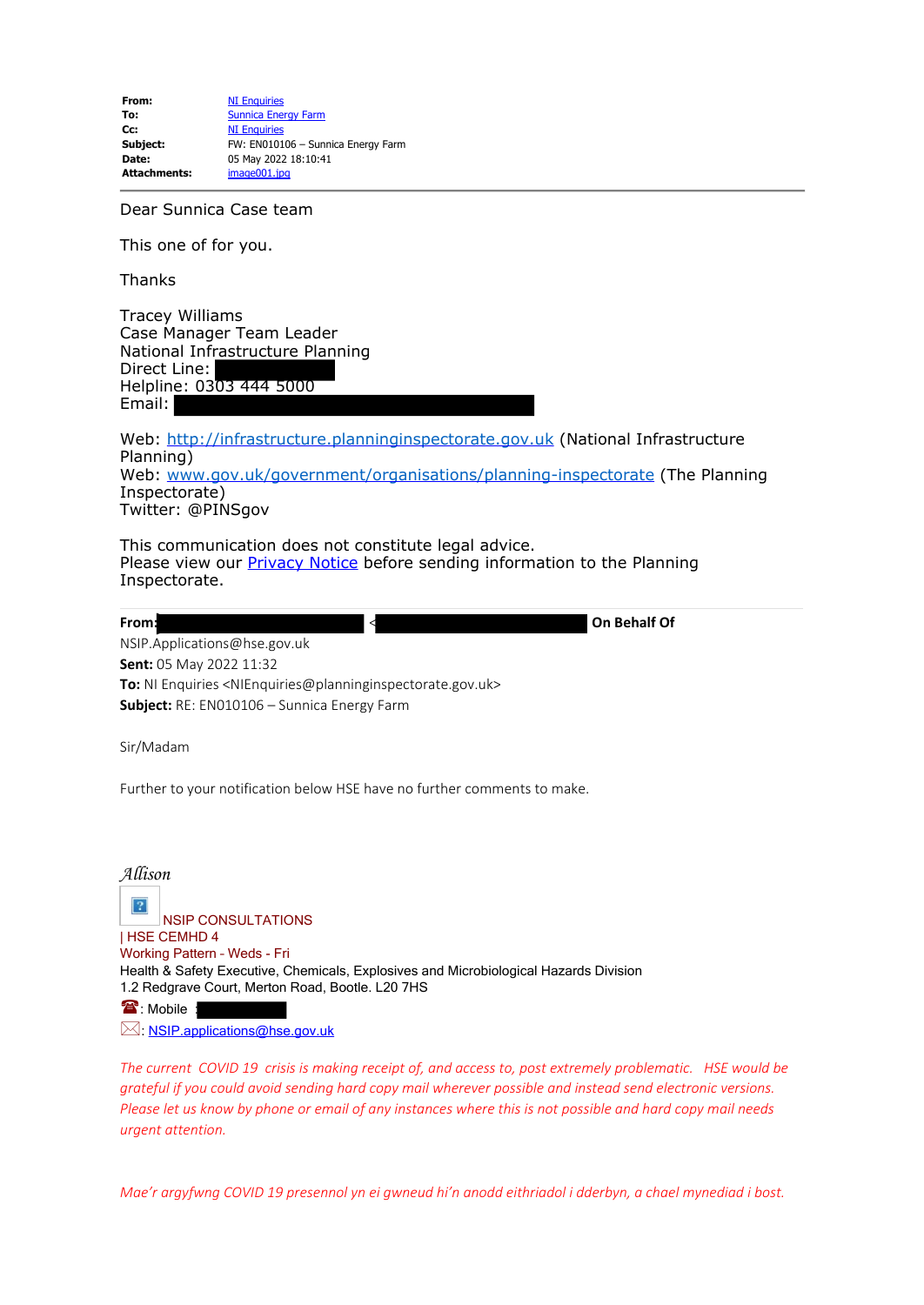**From:** [NI Enquiries](mailto:NIEnquiries@planninginspectorate.gov.uk) **To:** [Sunnica Energy Farm](mailto:Sunnica@planninginspectorate.gov.uk) **Cc:** [NI Enquiries](mailto:NIEnquiries@planninginspectorate.gov.uk)<br> **Subject:** FW: EN0101 **Subject:** FW: EN010106 – Sunnica Energy Farm **Date:** 05 May 2022 18:10:41 **Attachments:** image001.jpg

Dear Sunnica Case team

This one of for you.

**Thanks** 

Tracey Williams Case Manager Team Leader National Infrastructure Planning Direct Line: Helpline: 0303 444 5000 Email:

Web: [http://infrastructure.planninginspectorate.gov.uk](https://gbr01.safelinks.protection.outlook.com/?url=http%3A%2F%2Finfrastructure.planninginspectorate.gov.uk%2F&data=05%7C01%7CSunnica%40planninginspectorate.gov.uk%7C1fe2d8d450e04d97d9dc08da2eba2e01%7C5878df986f8848ab9322998ce557088d%7C0%7C0%7C637873674411673575%7CUnknown%7CTWFpbGZsb3d8eyJWIjoiMC4wLjAwMDAiLCJQIjoiV2luMzIiLCJBTiI6Ik1haWwiLCJXVCI6Mn0%3D%7C3000%7C%7C%7C&sdata=w8laWYb14EkpogvcByRaDsBW%2FqEq%2B1ecfAcu0yaMZcE%3D&reserved=0) (National Infrastructure Planning) Web: [www.gov.uk/government/organisations/planning-inspectorate](https://gbr01.safelinks.protection.outlook.com/?url=http%3A%2F%2Fwww.gov.uk%2Fgovernment%2Forganisations%2Fplanning-inspectorate&data=05%7C01%7CSunnica%40planninginspectorate.gov.uk%7C1fe2d8d450e04d97d9dc08da2eba2e01%7C5878df986f8848ab9322998ce557088d%7C0%7C0%7C637873674411673575%7CUnknown%7CTWFpbGZsb3d8eyJWIjoiMC4wLjAwMDAiLCJQIjoiV2luMzIiLCJBTiI6Ik1haWwiLCJXVCI6Mn0%3D%7C3000%7C%7C%7C&sdata=n3uNv04kVlYhjWnszWshUEJ94PEOYjF42%2FGlO66Cuzk%3D&reserved=0) (The Planning Inspectorate) Twitter: @PINSgov

This communication does not constitute legal advice. Please view our **Privacy Notice** before sending information to the Planning Inspectorate.

**From:** < **On Behalf Of** NSIP.Applications@hse.gov.uk **Sent:** 05 May 2022 11:32 **To:** NI Enquiries <NIEnquiries@planninginspectorate.gov.uk> **Subject:** RE: EN010106 – Sunnica Energy Farm

Sir/Madam

Further to your notification below HSE have no further comments to make.

*Allison*  $|2|$ NSIP CONSULTATIONS | HSE CEMHD 4 Working Pattern – Weds - Fri Health & Safety Executive, Chemicals, Explosives and Microbiological Hazards Division 1.2 Redgrave Court, Merton Road, Bootle. L20 7HS **<sup>1</sup>**: Mobile :

 $\boxtimes$ : [NSIP.applications@hse.gov.uk](mailto:NSIP.applications@hse.gov.uk)

*The current COVID 19 crisis is making receipt of, and access to, post extremely problematic. HSE would be grateful if you could avoid sending hard copy mail wherever possible and instead send electronic versions. Please let us know by phone or email of any instances where this is not possible and hard copy mail needs urgent attention.*

*Mae'r argyfwng COVID 19 presennol yn ei gwneud hi'n anodd eithriadol i dderbyn, a chael mynediad i bost.*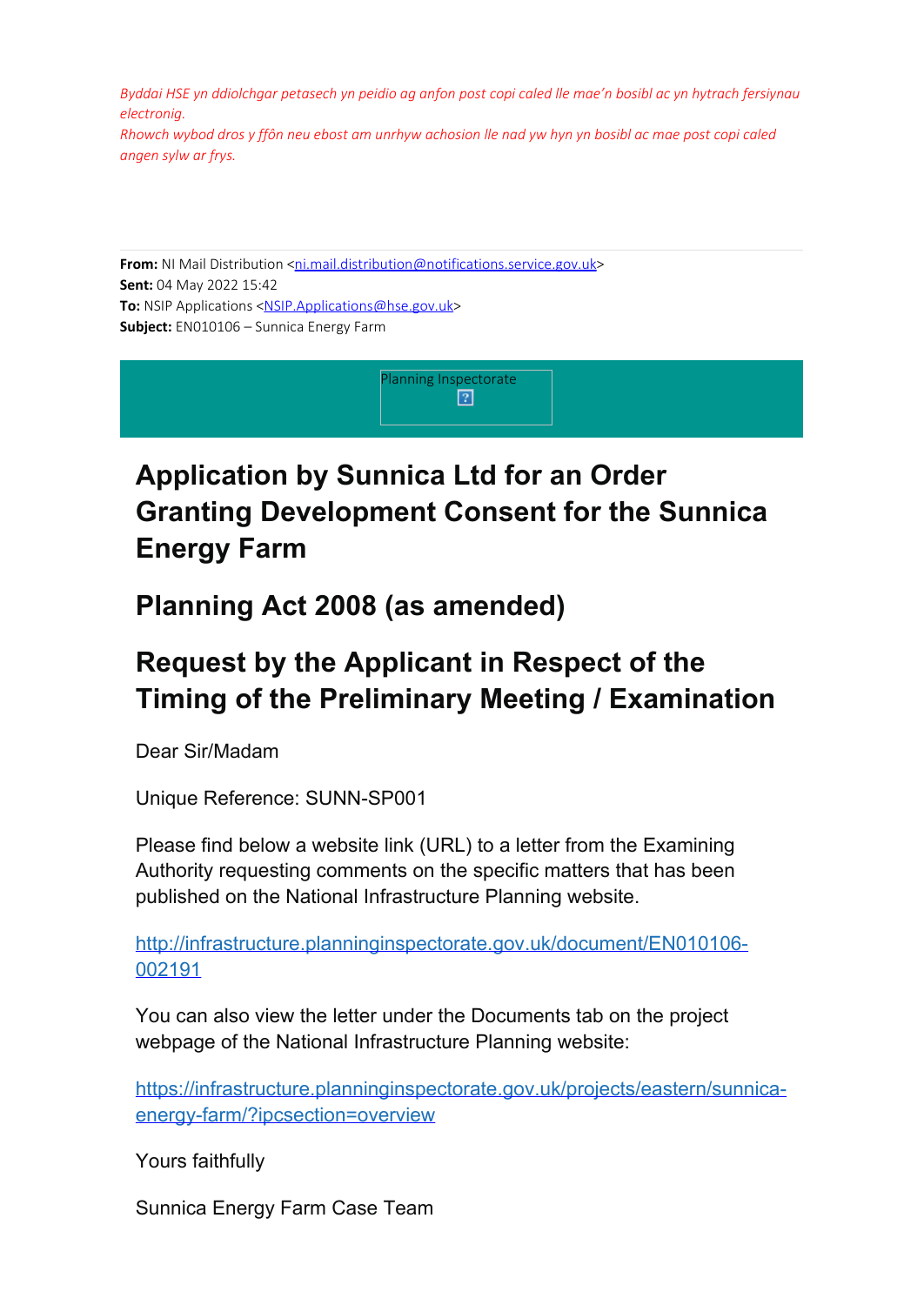*Byddai HSE yn ddiolchgar petasech yn peidio ag anfon post copi caled lle mae'n bosibl ac yn hytrach fersiynau electronig.*

*Rhowch wybod dros y ffôn neu ebost am unrhyw achosion lle nad yw hyn yn bosibl ac mae post copi caled angen sylw ar frys.*

**From:** NI Mail Distribution <[ni.mail.distribution@notifications.service.gov.uk](mailto:ni.mail.distribution@notifications.service.gov.uk)> **Sent:** 04 May 2022 15:42 **To:** NSIP Applications [<NSIP.Applications@hse.gov.uk](mailto:NSIP.Applications@hse.gov.uk)> **Subject:** EN010106 – Sunnica Energy Farm



## **Application by Sunnica Ltd for an Order Granting Development Consent for the Sunnica Energy Farm**

**Planning Act 2008 (as amended)**

## **Request by the Applicant in Respect of the Timing of the Preliminary Meeting / Examination**

Dear Sir/Madam

Unique Reference: SUNN-SP001

Please find below a website link (URL) to a letter from the Examining Authority requesting comments on the specific matters that has been published on the National Infrastructure Planning website.

[http://infrastructure.planninginspectorate.gov.uk/document/EN010106-](https://gbr01.safelinks.protection.outlook.com/?url=http%3A%2F%2Finfrastructure.planninginspectorate.gov.uk%2Fdocument%2FEN010106-002191&data=05%7C01%7CSunnica%40planninginspectorate.gov.uk%7C1fe2d8d450e04d97d9dc08da2eba2e01%7C5878df986f8848ab9322998ce557088d%7C0%7C0%7C637873674411673575%7CUnknown%7CTWFpbGZsb3d8eyJWIjoiMC4wLjAwMDAiLCJQIjoiV2luMzIiLCJBTiI6Ik1haWwiLCJXVCI6Mn0%3D%7C3000%7C%7C%7C&sdata=psUhah5qijNgfgVvAnRbsZFu9wkySwdwf03PJsO64xs%3D&reserved=0) [002191](https://gbr01.safelinks.protection.outlook.com/?url=http%3A%2F%2Finfrastructure.planninginspectorate.gov.uk%2Fdocument%2FEN010106-002191&data=05%7C01%7CSunnica%40planninginspectorate.gov.uk%7C1fe2d8d450e04d97d9dc08da2eba2e01%7C5878df986f8848ab9322998ce557088d%7C0%7C0%7C637873674411673575%7CUnknown%7CTWFpbGZsb3d8eyJWIjoiMC4wLjAwMDAiLCJQIjoiV2luMzIiLCJBTiI6Ik1haWwiLCJXVCI6Mn0%3D%7C3000%7C%7C%7C&sdata=psUhah5qijNgfgVvAnRbsZFu9wkySwdwf03PJsO64xs%3D&reserved=0)

You can also view the letter under the Documents tab on the project webpage of the National Infrastructure Planning website:

[https://infrastructure.planninginspectorate.gov.uk/projects/eastern/sunnica](https://gbr01.safelinks.protection.outlook.com/?url=https%3A%2F%2Finfrastructure.planninginspectorate.gov.uk%2Fprojects%2Feastern%2Fsunnica-energy-farm%2F%3Fipcsection%3Doverview&data=05%7C01%7CSunnica%40planninginspectorate.gov.uk%7C1fe2d8d450e04d97d9dc08da2eba2e01%7C5878df986f8848ab9322998ce557088d%7C0%7C0%7C637873674411673575%7CUnknown%7CTWFpbGZsb3d8eyJWIjoiMC4wLjAwMDAiLCJQIjoiV2luMzIiLCJBTiI6Ik1haWwiLCJXVCI6Mn0%3D%7C3000%7C%7C%7C&sdata=WFht9fhMN0PCQdqGND9o9XXD4kOz7pN4VeXZAGakdGw%3D&reserved=0)[energy-farm/?ipcsection=overview](https://gbr01.safelinks.protection.outlook.com/?url=https%3A%2F%2Finfrastructure.planninginspectorate.gov.uk%2Fprojects%2Feastern%2Fsunnica-energy-farm%2F%3Fipcsection%3Doverview&data=05%7C01%7CSunnica%40planninginspectorate.gov.uk%7C1fe2d8d450e04d97d9dc08da2eba2e01%7C5878df986f8848ab9322998ce557088d%7C0%7C0%7C637873674411673575%7CUnknown%7CTWFpbGZsb3d8eyJWIjoiMC4wLjAwMDAiLCJQIjoiV2luMzIiLCJBTiI6Ik1haWwiLCJXVCI6Mn0%3D%7C3000%7C%7C%7C&sdata=WFht9fhMN0PCQdqGND9o9XXD4kOz7pN4VeXZAGakdGw%3D&reserved=0)

Yours faithfully

Sunnica Energy Farm Case Team